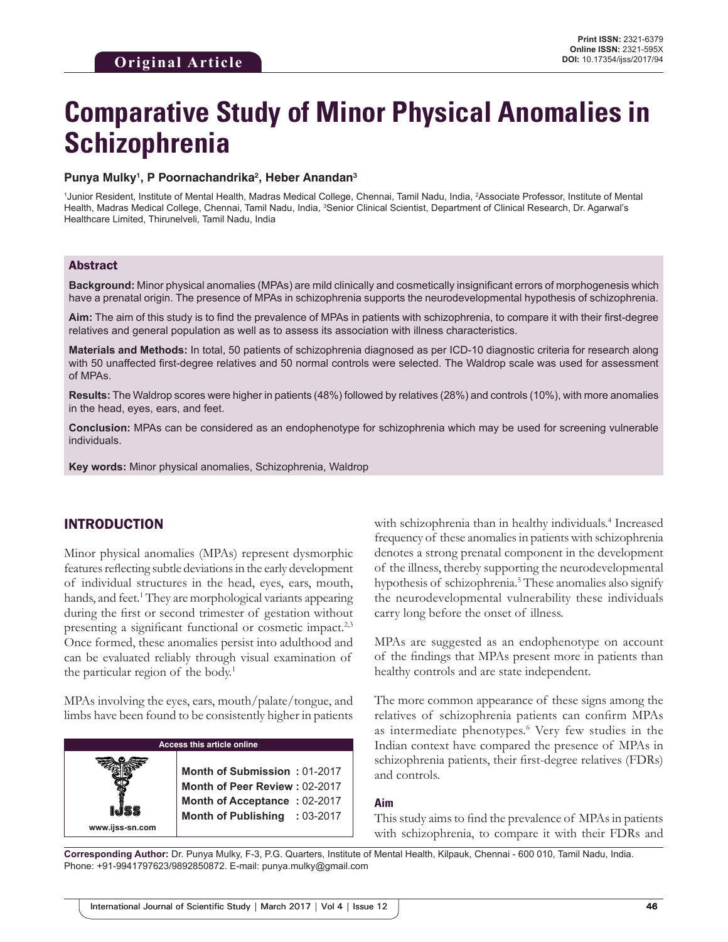# **Comparative Study of Minor Physical Anomalies in Schizophrenia**

#### Punya Mulky<sup>1</sup>, P Poornachandrika<sup>2</sup>, Heber Anandan<sup>3</sup>

<sup>1</sup>Junior Resident, Institute of Mental Health, Madras Medical College, Chennai, Tamil Nadu, India, <sup>2</sup>Associate Professor, Institute of Mental Health, Madras Medical College, Chennai, Tamil Nadu, India, <sup>3</sup>Senior Clinical Scientist, Department of Clinical Research, Dr. Agarwal's Healthcare Limited, Thirunelveli, Tamil Nadu, India

#### Abstract

**Background:** Minor physical anomalies (MPAs) are mild clinically and cosmetically insignificant errors of morphogenesis which have a prenatal origin. The presence of MPAs in schizophrenia supports the neurodevelopmental hypothesis of schizophrenia.

**Aim:** The aim of this study is to find the prevalence of MPAs in patients with schizophrenia, to compare it with their first-degree relatives and general population as well as to assess its association with illness characteristics.

**Materials and Methods:** In total, 50 patients of schizophrenia diagnosed as per ICD-10 diagnostic criteria for research along with 50 unaffected first-degree relatives and 50 normal controls were selected. The Waldrop scale was used for assessment of MPAs.

**Results:** The Waldrop scores were higher in patients (48%) followed by relatives (28%) and controls (10%), with more anomalies in the head, eyes, ears, and feet.

**Conclusion:** MPAs can be considered as an endophenotype for schizophrenia which may be used for screening vulnerable individuals.

**Key words:** Minor physical anomalies, Schizophrenia, Waldrop

# INTRODUCTION

Minor physical anomalies (MPAs) represent dysmorphic features reflecting subtle deviations in the early development of individual structures in the head, eyes, ears, mouth, hands, and feet.<sup>1</sup> They are morphological variants appearing during the first or second trimester of gestation without presenting a significant functional or cosmetic impact.<sup>2,3</sup> Once formed, these anomalies persist into adulthood and can be evaluated reliably through visual examination of the particular region of the body.<sup>1</sup>

MPAs involving the eyes, ears, mouth/palate/tongue, and limbs have been found to be consistently higher in patients

| <b>Access this article online</b> |                                                                                                                                |  |  |
|-----------------------------------|--------------------------------------------------------------------------------------------------------------------------------|--|--|
| SS<br>www.ijss-sn.com             | Month of Submission: 01-2017<br>Month of Peer Review: 02-2017<br>Month of Acceptance: 02-2017<br>Month of Publishing : 03-2017 |  |  |

with schizophrenia than in healthy individuals.<sup>4</sup> Increased frequency of these anomalies in patients with schizophrenia denotes a strong prenatal component in the development of the illness, thereby supporting the neurodevelopmental hypothesis of schizophrenia.<sup>5</sup> These anomalies also signify the neurodevelopmental vulnerability these individuals carry long before the onset of illness.

MPAs are suggested as an endophenotype on account of the findings that MPAs present more in patients than healthy controls and are state independent.

The more common appearance of these signs among the relatives of schizophrenia patients can confirm MPAs as intermediate phenotypes.<sup>6</sup> Very few studies in the Indian context have compared the presence of MPAs in schizophrenia patients, their first-degree relatives (FDRs) and controls.

#### **Aim**

This study aims to find the prevalence of MPAs in patients with schizophrenia, to compare it with their FDRs and

**Corresponding Author:** Dr. Punya Mulky, F-3, P.G. Quarters, Institute of Mental Health, Kilpauk, Chennai - 600 010, Tamil Nadu, India. Phone: +91-9941797623/9892850872. E-mail: punya.mulky@gmail.com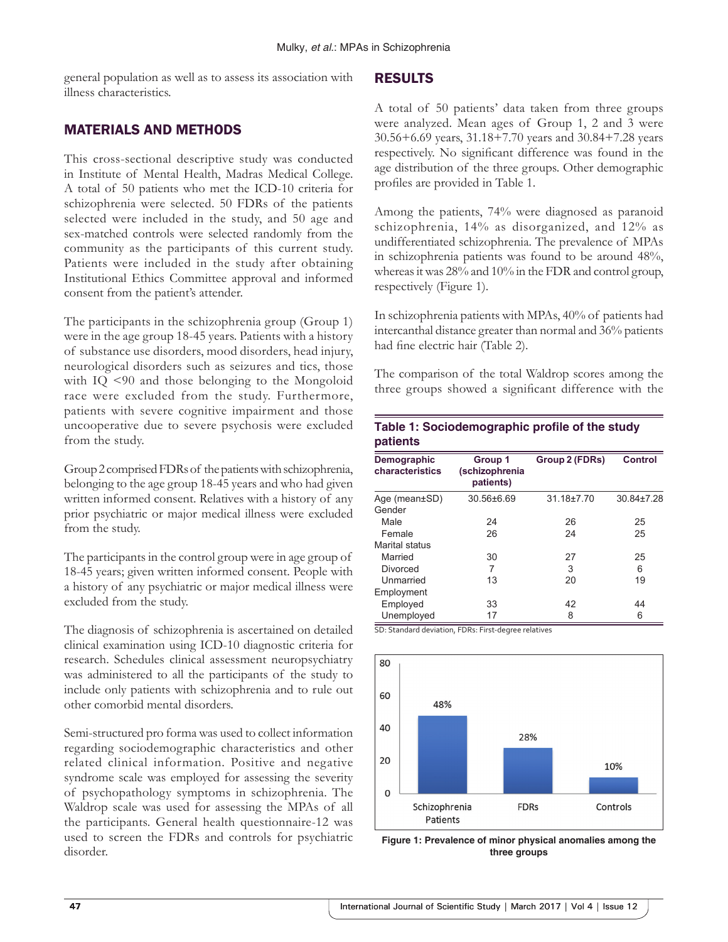general population as well as to assess its association with illness characteristics.

## MATERIALS AND METHODS

This cross-sectional descriptive study was conducted in Institute of Mental Health, Madras Medical College. A total of 50 patients who met the ICD-10 criteria for schizophrenia were selected. 50 FDRs of the patients selected were included in the study, and 50 age and sex-matched controls were selected randomly from the community as the participants of this current study. Patients were included in the study after obtaining Institutional Ethics Committee approval and informed consent from the patient's attender.

The participants in the schizophrenia group (Group 1) were in the age group 18-45 years. Patients with a history of substance use disorders, mood disorders, head injury, neurological disorders such as seizures and tics, those with IQ <90 and those belonging to the Mongoloid race were excluded from the study. Furthermore, patients with severe cognitive impairment and those uncooperative due to severe psychosis were excluded from the study.

Group2 comprised FDRs of the patients with schizophrenia, belonging to the age group 18-45 years and who had given written informed consent. Relatives with a history of any prior psychiatric or major medical illness were excluded from the study.

The participants in the control group were in age group of 18-45 years; given written informed consent. People with a history of any psychiatric or major medical illness were excluded from the study.

The diagnosis of schizophrenia is ascertained on detailed clinical examination using ICD-10 diagnostic criteria for research. Schedules clinical assessment neuropsychiatry was administered to all the participants of the study to include only patients with schizophrenia and to rule out other comorbid mental disorders.

Semi-structured pro forma was used to collect information regarding sociodemographic characteristics and other related clinical information. Positive and negative syndrome scale was employed for assessing the severity of psychopathology symptoms in schizophrenia. The Waldrop scale was used for assessing the MPAs of all the participants. General health questionnaire-12 was used to screen the FDRs and controls for psychiatric disorder.

## RESULTS

A total of 50 patients' data taken from three groups were analyzed. Mean ages of Group 1, 2 and 3 were 30.56+6.69 years, 31.18+7.70 years and 30.84+7.28 years respectively. No significant difference was found in the age distribution of the three groups. Other demographic profiles are provided in Table 1.

Among the patients, 74% were diagnosed as paranoid schizophrenia, 14% as disorganized, and 12% as undifferentiated schizophrenia. The prevalence of MPAs in schizophrenia patients was found to be around 48%, whereas it was 28% and 10% in the FDR and control group, respectively (Figure 1).

In schizophrenia patients with MPAs, 40% of patients had intercanthal distance greater than normal and 36% patients had fine electric hair (Table 2).

The comparison of the total Waldrop scores among the three groups showed a significant difference with the

**Table 1: Sociodemographic profile of the study**

| patients                       |                                        |                |                |
|--------------------------------|----------------------------------------|----------------|----------------|
| Demographic<br>characteristics | Group 1<br>(schizophrenia<br>patients) | Group 2 (FDRs) | <b>Control</b> |
| Age (mean±SD)                  | $30.56\pm 6.69$                        | 31.18±7.70     | 30.84±7.28     |
| Gender                         |                                        |                |                |
| Male                           | 24                                     | 26             | 25             |
| Female                         | 26                                     | 24             | 25             |
| Marital status                 |                                        |                |                |
| Married                        | 30                                     | 27             | 25             |
| Divorced                       | 7                                      | 3              | 6              |
| Unmarried                      | 13                                     | 20             | 19             |
| Employment                     |                                        |                |                |
| Employed                       | 33                                     | 42             | 44             |
| Unemployed                     | 17                                     | 8              | 6              |

SD: Standard deviation, FDRs: First‑degree relatives



**Figure 1: Prevalence of minor physical anomalies among the three groups**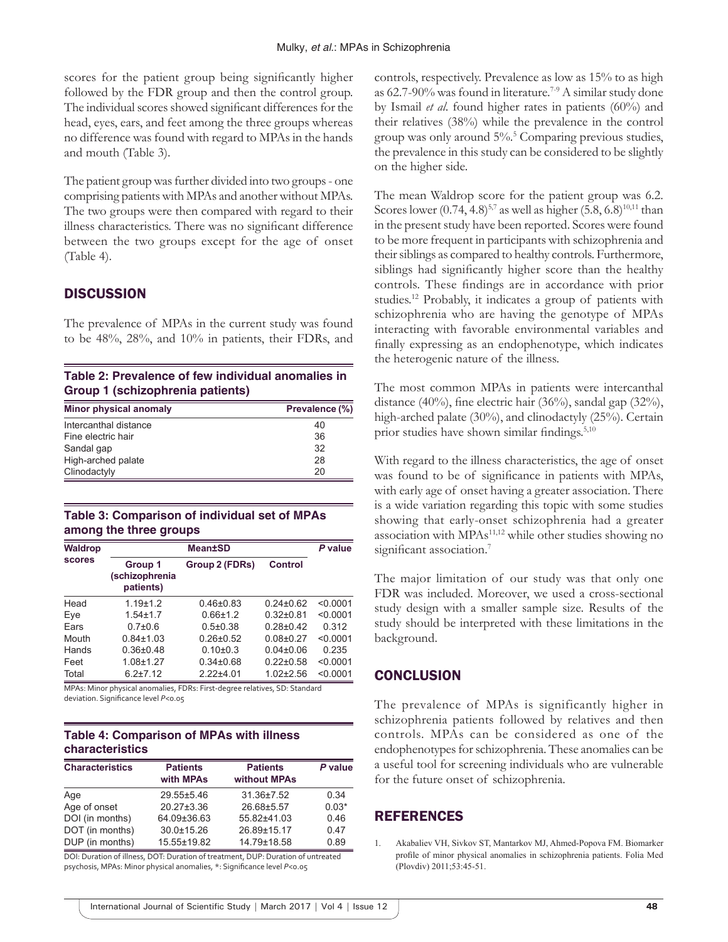scores for the patient group being significantly higher followed by the FDR group and then the control group. The individual scores showed significant differences for the head, eyes, ears, and feet among the three groups whereas no difference was found with regard to MPAs in the hands and mouth (Table 3).

The patient group was further divided into two groups- one comprising patients with MPAs and another without MPAs. The two groups were then compared with regard to their illness characteristics. There was no significant difference between the two groups except for the age of onset (Table 4).

# **DISCUSSION**

The prevalence of MPAs in the current study was found to be 48%, 28%, and 10% in patients, their FDRs, and

**Table 2: Prevalence of few individual anomalies in Group 1 (schizophrenia patients)**

| <b>Minor physical anomaly</b> | Prevalence (%) |
|-------------------------------|----------------|
| Intercanthal distance         | 40             |
| Fine electric hair            | 36             |
| Sandal gap                    | 32             |
| High-arched palate            | 28             |
| Clinodactyly                  | 20             |

### **Table 3: Comparison of individual set of MPAs among the three groups**

| <b>Waldrop</b><br><b>scores</b> |                                        | P value        |                 |          |
|---------------------------------|----------------------------------------|----------------|-----------------|----------|
|                                 | Group 1<br>(schizophrenia<br>patients) | Group 2 (FDRs) | Control         |          |
| Head                            | $1.19 + 1.2$                           | $0.46 + 0.83$  | $0.24 \pm 0.62$ | < 0.0001 |
| Eye                             | $1.54 + 1.7$                           | $0.66 \pm 1.2$ | $0.32 + 0.81$   | < 0.0001 |
| Fars                            | $0.7{\pm}0.6$                          | $0.5 \pm 0.38$ | $0.28 + 0.42$   | 0.312    |
| Mouth                           | $0.84 \pm 1.03$                        | $0.26 + 0.52$  | $0.08 + 0.27$   | < 0.0001 |
| Hands                           | $0.36{\pm}0.48$                        | $0.10+0.3$     | $0.04 \pm 0.06$ | 0.235    |
| Feet                            | $1.08 + 1.27$                          | $0.34\pm0.68$  | $0.22 \pm 0.58$ | < 0.0001 |
| Total                           | $6.2 \pm 7.12$                         | $2.22 + 4.01$  | $1.02 + 2.56$   | < 0.0001 |

MPAs: Minor physical anomalies, FDRs: First‑degree relatives, SD: Standard deviation. Significance level *P*<0.05

## **Table 4: Comparison of MPAs with illness characteristics**

| <b>Characteristics</b> | <b>Patients</b><br>with MPAs | <b>Patients</b><br>without MPAs | P value |
|------------------------|------------------------------|---------------------------------|---------|
| Age                    | 29.55±5.46                   | 31.36±7.52                      | 0.34    |
| Age of onset           | $20.27 \pm 3.36$             | 26.68±5.57                      | $0.03*$ |
| DOI (in months)        | 64.09±36.63                  | 55.82±41.03                     | 0.46    |
| DOT (in months)        | 30.0±15.26                   | 26.89±15.17                     | 0.47    |
| DUP (in months)        | 15.55±19.82                  | 14.79±18.58                     | 0.89    |

DOI: Duration of illness, DOT: Duration of treatment, DUP: Duration of untreated psychosis, MPAs: Minor physical anomalies, \*: Significance level *P*<0.05

controls, respectively. Prevalence as low as 15% to as high as 62.7-90% was found in literature.<sup>7-9</sup> A similar study done by Ismail *et al*. found higher rates in patients (60%) and their relatives (38%) while the prevalence in the control group was only around 5%.5 Comparing previous studies, the prevalence in this study can be considered to be slightly on the higher side.

The mean Waldrop score for the patient group was 6.2. Scores lower  $(0.74, 4.8)^{5,7}$  as well as higher  $(5.8, 6.8)^{10,11}$  than in the present study have been reported. Scores were found to be more frequent in participants with schizophrenia and their siblings as compared to healthy controls. Furthermore, siblings had significantly higher score than the healthy controls. These findings are in accordance with prior studies.12 Probably, it indicates a group of patients with schizophrenia who are having the genotype of MPAs interacting with favorable environmental variables and finally expressing as an endophenotype, which indicates the heterogenic nature of the illness.

The most common MPAs in patients were intercanthal distance (40%), fine electric hair (36%), sandal gap (32%), high-arched palate (30%), and clinodactyly (25%). Certain prior studies have shown similar findings.<sup>5,10</sup>

With regard to the illness characteristics, the age of onset was found to be of significance in patients with MPAs, with early age of onset having a greater association. There is a wide variation regarding this topic with some studies showing that early-onset schizophrenia had a greater association with MPAs<sup>11,12</sup> while other studies showing no significant association.<sup>7</sup>

The major limitation of our study was that only one FDR was included. Moreover, we used a cross-sectional study design with a smaller sample size. Results of the study should be interpreted with these limitations in the background.

# **CONCLUSION**

The prevalence of MPAs is significantly higher in schizophrenia patients followed by relatives and then controls. MPAs can be considered as one of the endophenotypes for schizophrenia. These anomalies can be a useful tool for screening individuals who are vulnerable for the future onset of schizophrenia.

## REFERENCES

1. Akabaliev VH, Sivkov ST, Mantarkov MJ, Ahmed-Popova FM. Biomarker profile of minor physical anomalies in schizophrenia patients. Folia Med (Plovdiv) 2011;53:45-51.